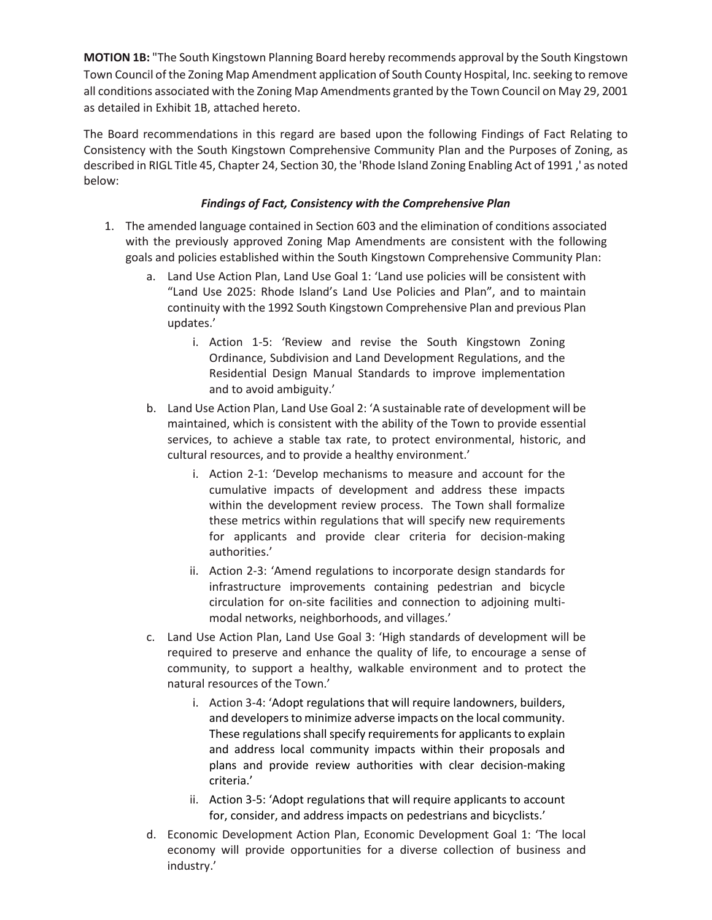**MOTION 1B:** "The South Kingstown Planning Board hereby recommends approval by the South Kingstown Town Council of the Zoning Map Amendment application of South County Hospital, Inc. seeking to remove all conditions associated with the Zoning Map Amendments granted by the Town Council on May 29, 2001 as detailed in Exhibit 1B, attached hereto.

The Board recommendations in this regard are based upon the following Findings of Fact Relating to Consistency with the South Kingstown Comprehensive Community Plan and the Purposes of Zoning, as described in RIGL Title 45, Chapter 24, Section 30, the 'Rhode Island Zoning Enabling Act of 1991 ,' as noted below:

## *Findings of Fact, Consistency with the Comprehensive Plan*

- 1. The amended language contained in Section 603 and the elimination of conditions associated with the previously approved Zoning Map Amendments are consistent with the following goals and policies established within the South Kingstown Comprehensive Community Plan:
	- a. Land Use Action Plan, Land Use Goal 1: 'Land use policies will be consistent with "Land Use 2025: Rhode Island's Land Use Policies and Plan", and to maintain continuity with the 1992 South Kingstown Comprehensive Plan and previous Plan updates.'
		- i. Action 1-5: 'Review and revise the South Kingstown Zoning Ordinance, Subdivision and Land Development Regulations, and the Residential Design Manual Standards to improve implementation and to avoid ambiguity.'
	- b. Land Use Action Plan, Land Use Goal 2: 'A sustainable rate of development will be maintained, which is consistent with the ability of the Town to provide essential services, to achieve a stable tax rate, to protect environmental, historic, and cultural resources, and to provide a healthy environment.'
		- i. Action 2-1: 'Develop mechanisms to measure and account for the cumulative impacts of development and address these impacts within the development review process. The Town shall formalize these metrics within regulations that will specify new requirements for applicants and provide clear criteria for decision-making authorities.'
		- ii. Action 2-3: 'Amend regulations to incorporate design standards for infrastructure improvements containing pedestrian and bicycle circulation for on-site facilities and connection to adjoining multimodal networks, neighborhoods, and villages.'
	- c. Land Use Action Plan, Land Use Goal 3: 'High standards of development will be required to preserve and enhance the quality of life, to encourage a sense of community, to support a healthy, walkable environment and to protect the natural resources of the Town.'
		- i. Action 3-4: 'Adopt regulations that will require landowners, builders, and developers to minimize adverse impacts on the local community. These regulations shall specify requirements for applicants to explain and address local community impacts within their proposals and plans and provide review authorities with clear decision-making criteria.'
		- ii. Action 3-5: 'Adopt regulations that will require applicants to account for, consider, and address impacts on pedestrians and bicyclists.'
	- d. Economic Development Action Plan, Economic Development Goal 1: 'The local economy will provide opportunities for a diverse collection of business and industry.'